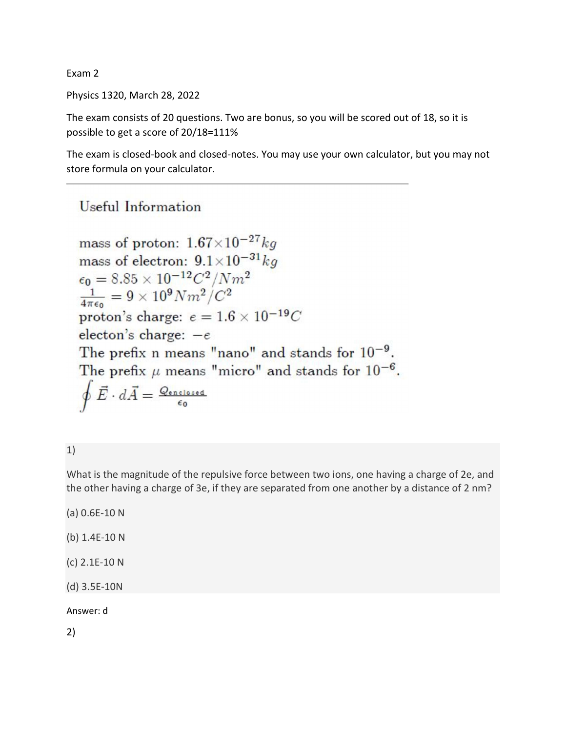Exam 2

Physics 1320, March 28, 2022

The exam consists of 20 questions. Two are bonus, so you will be scored out of 18, so it is possible to get a score of 20/18=111%

The exam is closed-book and closed-notes. You may use your own calculator, but you may not store formula on your calculator.

# Useful Information

mass of proton:  $1.67\times10^{-27}$  kg mass of electron:  $9.1 \times 10^{-31}$  kg  $\epsilon_0 = 8.85 \times 10^{-12} C^2 / N m^2$  $\frac{1}{4\pi\epsilon_0} = 9 \times 10^9 N m^2/C^2$ proton's charge:  $e = 1.6 \times 10^{-19}C$ electon's charge:  $-e$ The prefix n means "nano" and stands for  $10^{-9}$ . The prefix  $\mu$  means "micro" and stands for  $10^{-6}$ .  $\oint \vec{E} \cdot d\vec{A} = \frac{Q_{\text{enclosed}}}{\epsilon_0}$ 

1)

What is the magnitude of the repulsive force between two ions, one having a charge of 2e, and the other having a charge of 3e, if they are separated from one another by a distance of 2 nm?

(a) 0.6E-10 N (b) 1.4E-10 N (c) 2.1E-10 N

(d) 3.5E-10N

Answer: d

2)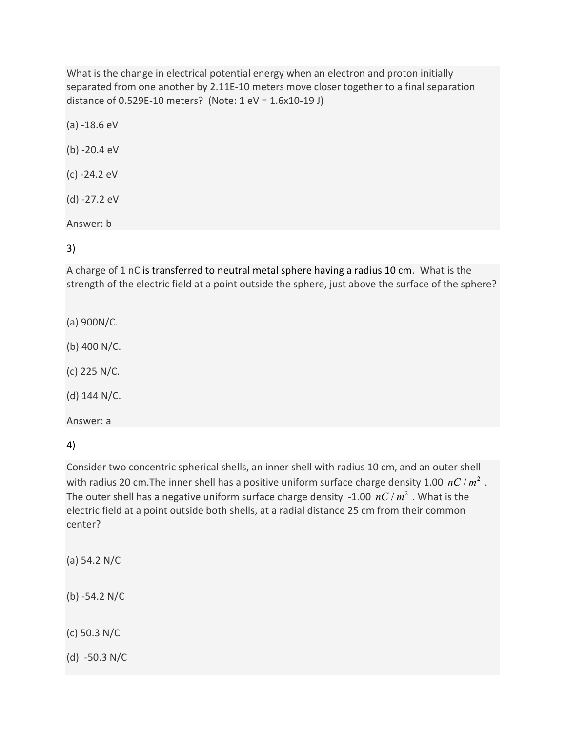What is the change in electrical potential energy when an electron and proton initially separated from one another by 2.11E-10 meters move closer together to a final separation distance of 0.529E-10 meters? (Note: 1 eV = 1.6x10-19 J)

(a) -18.6 eV

(b) -20.4 eV

(c) -24.2 eV

(d) -27.2 eV

Answer: b

3)

A charge of 1 nC is transferred to neutral metal sphere having a radius 10 cm. What is the strength of the electric field at a point outside the sphere, just above the surface of the sphere?

(a) 900N/C.

(b) 400 N/C.

(c) 225 N/C.

(d) 144 N/C.

Answer: a

4)

Consider two concentric spherical shells, an inner shell with radius 10 cm, and an outer shell with radius 20 cm. The inner shell has a positive uniform surface charge density 1.00  $nC/m^2$ . The outer shell has a negative uniform surface charge density -1.00  $nC/m^2$ . What is the electric field at a point outside both shells, at a radial distance 25 cm from their common center?

(a) 54.2 N/C

(b) -54.2 N/C

(c) 50.3 N/C

(d) -50.3 N/C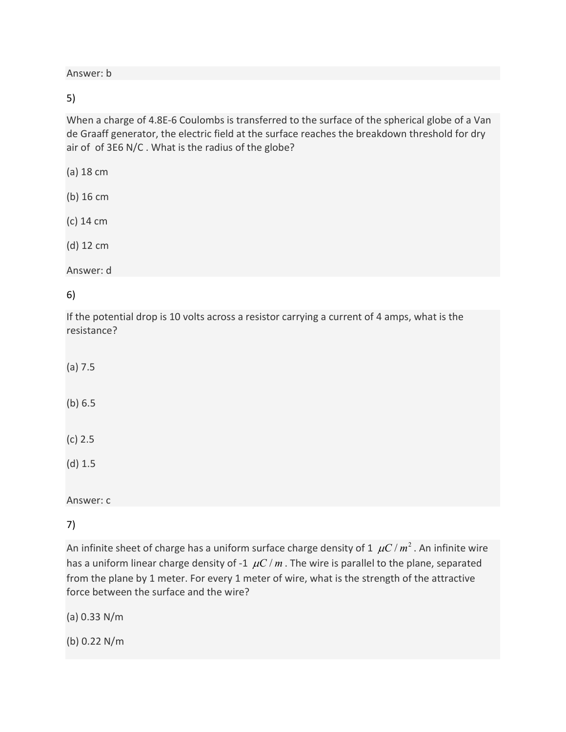Answer: b

5)

When a charge of 4.8E-6 Coulombs is transferred to the surface of the spherical globe of a Van de Graaff generator, the electric field at the surface reaches the breakdown threshold for dry air of of 3E6 N/C . What is the radius of the globe?

(a) 18 cm

(b) 16 cm

(c) 14 cm

(d) 12 cm

Answer: d

6)

If the potential drop is 10 volts across a resistor carrying a current of 4 amps, what is the resistance?

(a) 7.5

(b) 6.5

(c) 2.5

(d) 1.5

Answer: c

7)

An infinite sheet of charge has a uniform surface charge density of 1  $\mu$ C /  $m^2$  . An infinite wire has a uniform linear charge density of -1  $\mu$ C / m. The wire is parallel to the plane, separated from the plane by 1 meter. For every 1 meter of wire, what is the strength of the attractive force between the surface and the wire?

(a) 0.33 N/m

(b) 0.22 N/m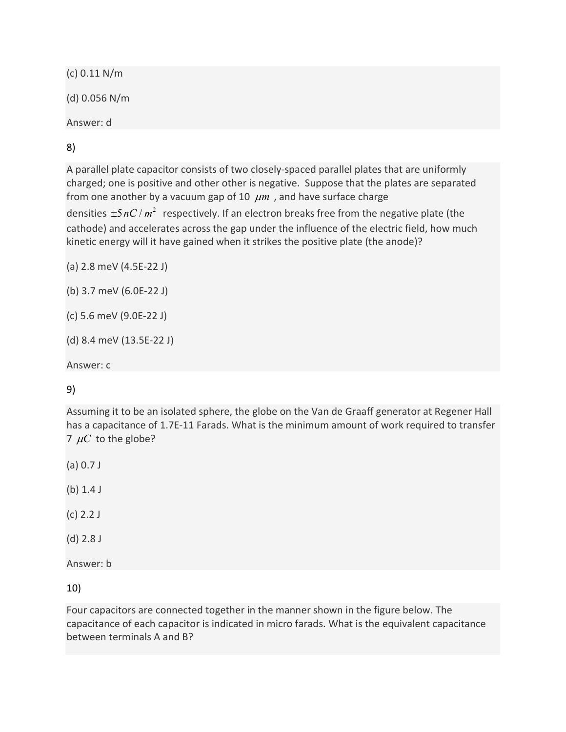(c) 0.11 N/m

(d) 0.056 N/m

Answer: d

8)

A parallel plate capacitor consists of two closely-spaced parallel plates that are uniformly charged; one is positive and other other is negative. Suppose that the plates are separated from one another by a vacuum gap of 10  $\mu$ m, and have surface charge

densities  $\pm 5 nC / m^2$  respectively. If an electron breaks free from the negative plate (the cathode) and accelerates across the gap under the influence of the electric field, how much kinetic energy will it have gained when it strikes the positive plate (the anode)?

(a) 2.8 meV (4.5E-22 J)

(b) 3.7 meV (6.0E-22 J)

```
(c) 5.6 meV (9.0E-22 J)
```

```
(d) 8.4 meV (13.5E-22 J)
```
Answer: c

# 9)

Assuming it to be an isolated sphere, the globe on the Van de Graaff generator at Regener Hall has a capacitance of 1.7E-11 Farads. What is the minimum amount of work required to transfer 7  $\mu$ C to the globe?

(a) 0.7 J

(b) 1.4 J

(c) 2.2 J

(d) 2.8 J

Answer: b

10)

Four capacitors are connected together in the manner shown in the figure below. The capacitance of each capacitor is indicated in micro farads. What is the equivalent capacitance between terminals A and B?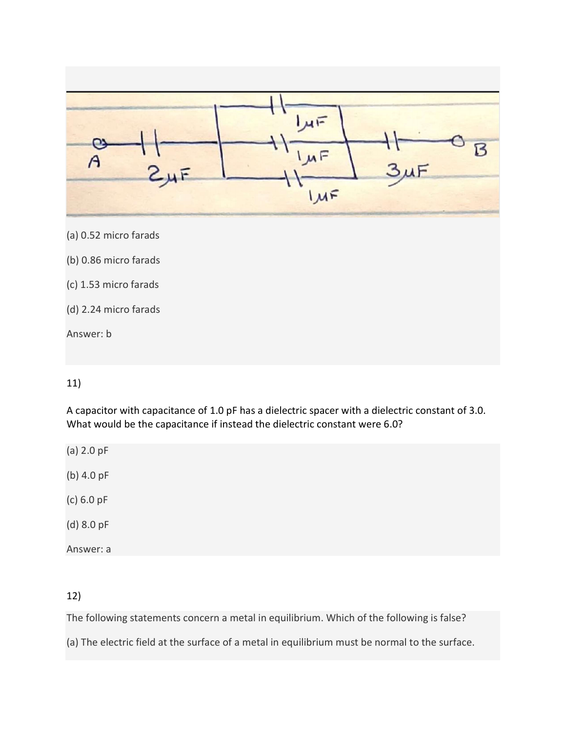

#### 11)

A capacitor with capacitance of 1.0 pF has a dielectric spacer with a dielectric constant of 3.0. What would be the capacitance if instead the dielectric constant were 6.0?

(a) 2.0 pF (b) 4.0 pF

(c) 6.0 pF

(d) 8.0 pF

Answer: a

## 12)

The following statements concern a metal in equilibrium. Which of the following is false?

(a) The electric field at the surface of a metal in equilibrium must be normal to the surface.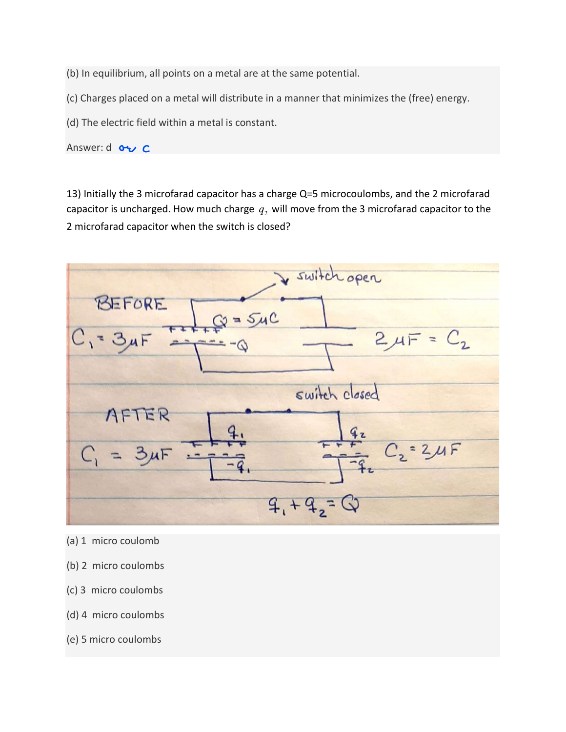(b) In equilibrium, all points on a metal are at the same potential.

(c) Charges placed on a metal will distribute in a manner that minimizes the (free) energy.

(d) The electric field within a metal is constant.

Answer: d ov C

13) Initially the 3 microfarad capacitor has a charge Q=5 microcoulombs, and the 2 microfarad capacitor is uncharged. How much charge  $q_2$  will move from the 3 microfarad capacitor to the 2 microfarad capacitor when the switch is closed?



- (a) 1 micro coulomb
- (b) 2 micro coulombs
- (c) 3 micro coulombs
- (d) 4 micro coulombs
- (e) 5 micro coulombs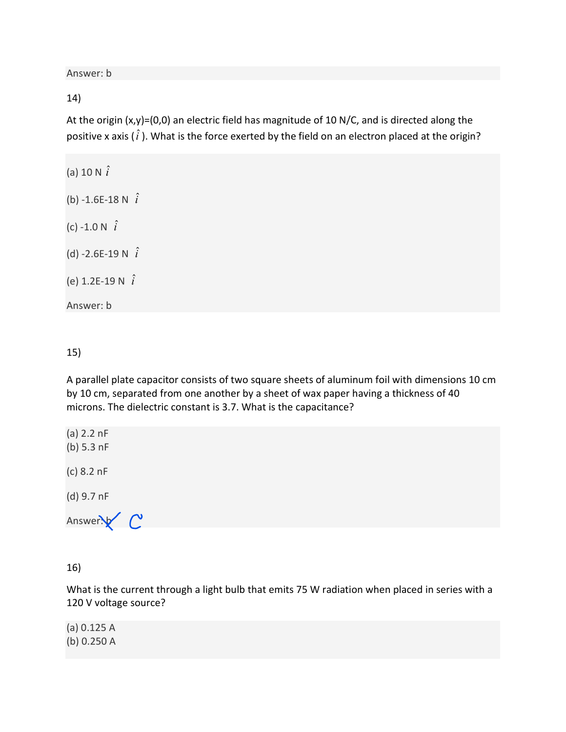Answer: b

#### 14)

At the origin (x,y)=(0,0) an electric field has magnitude of 10 N/C, and is directed along the positive x axis ( $\hat{i}$ ). What is the force exerted by the field on an electron placed at the origin?

(a) 10 N  $\hat{i}$ (b) -1.6E-18 N  $\hat{i}$ (c) -1.0 N  $\hat{i}$ (d) -2.6E-19 N  $\hat{i}$ (e) 1.2E-19 N  $\hat{i}$ 

Answer: b

15)

A parallel plate capacitor consists of two square sheets of aluminum foil with dimensions 10 cm by 10 cm, separated from one another by a sheet of wax paper having a thickness of 40 microns. The dielectric constant is 3.7. What is the capacitance?

(a) 2.2 nF (b) 5.3 nF (c) 8.2 nF

(d) 9.7 nF

Answer $\sqrt{\phantom{a}}$ 

16)

What is the current through a light bulb that emits 75 W radiation when placed in series with a 120 V voltage source?

(a) 0.125 A (b) 0.250 A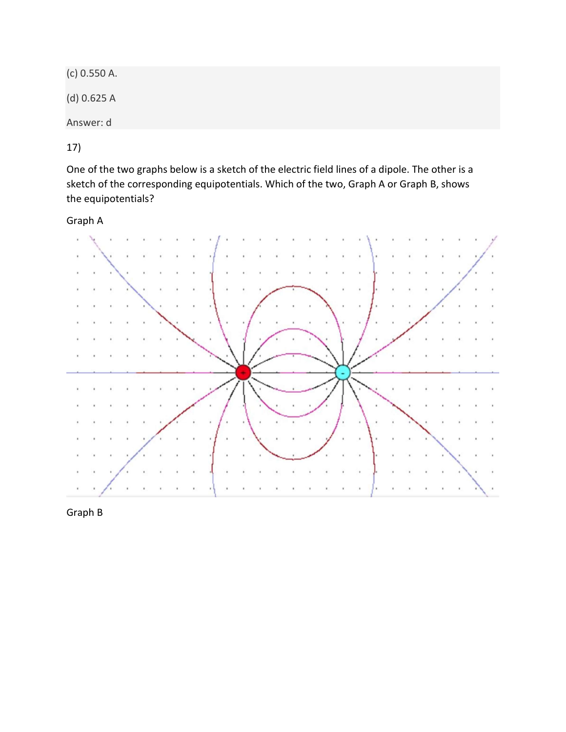(c) 0.550 A.

(d) 0.625 A

Answer: d

17)

One of the two graphs below is a sketch of the electric field lines of a dipole. The other is a sketch of the corresponding equipotentials. Which of the two, Graph A or Graph B, shows the equipotentials?

Graph A



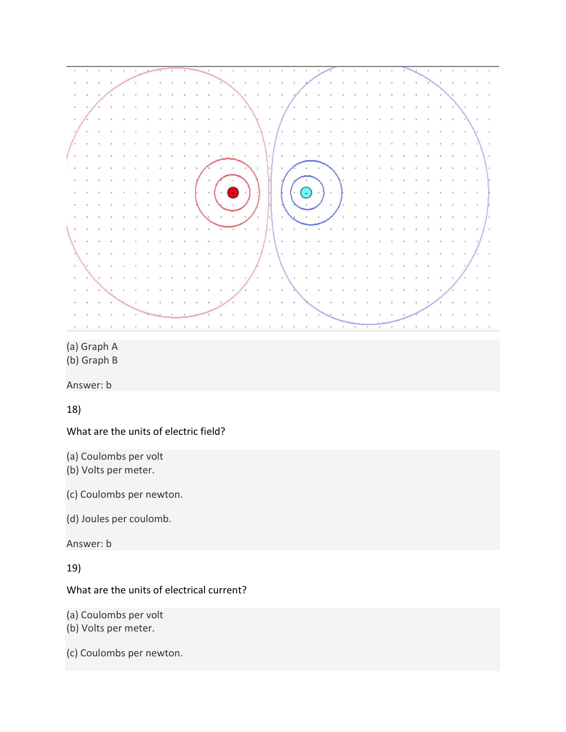

(a) Graph A

(b) Graph B

Answer: b

18)

What are the units of electric field?

(a) Coulombs per volt

(b) Volts per meter.

(c) Coulombs per newton.

(d) Joules per coulomb.

Answer: b

19)

### What are the units of electrical current?

(a) Coulombs per volt

(b) Volts per meter.

(c) Coulombs per newton.